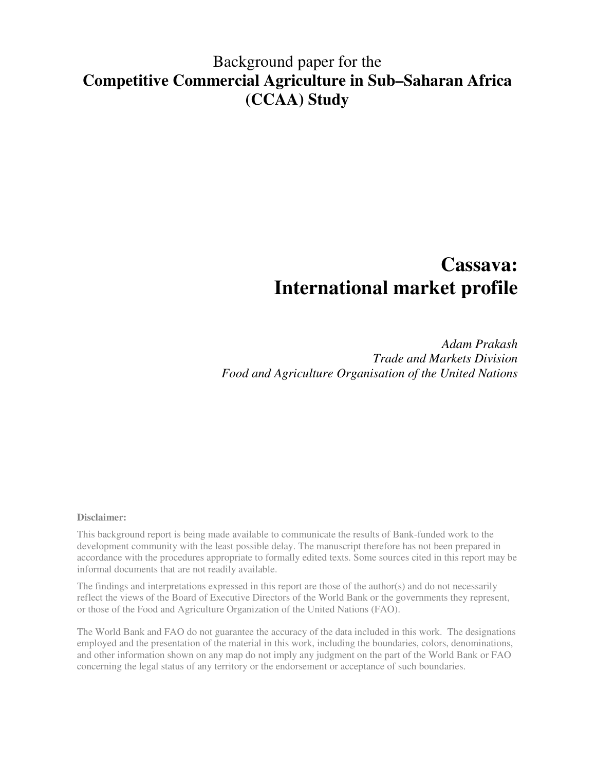## Background paper for the **Competitive Commercial Agriculture in Sub–Saharan Africa (CCAA) Study**

# **Cassava: International market profile**

*Adam Prakash Trade and Markets Division Food and Agriculture Organisation of the United Nations* 

## **Disclaimer:**

This background report is being made available to communicate the results of Bank-funded work to the development community with the least possible delay. The manuscript therefore has not been prepared in accordance with the procedures appropriate to formally edited texts. Some sources cited in this report may be informal documents that are not readily available.

The findings and interpretations expressed in this report are those of the author(s) and do not necessarily reflect the views of the Board of Executive Directors of the World Bank or the governments they represent, or those of the Food and Agriculture Organization of the United Nations (FAO).

The World Bank and FAO do not guarantee the accuracy of the data included in this work. The designations employed and the presentation of the material in this work, including the boundaries, colors, denominations, and other information shown on any map do not imply any judgment on the part of the World Bank or FAO concerning the legal status of any territory or the endorsement or acceptance of such boundaries.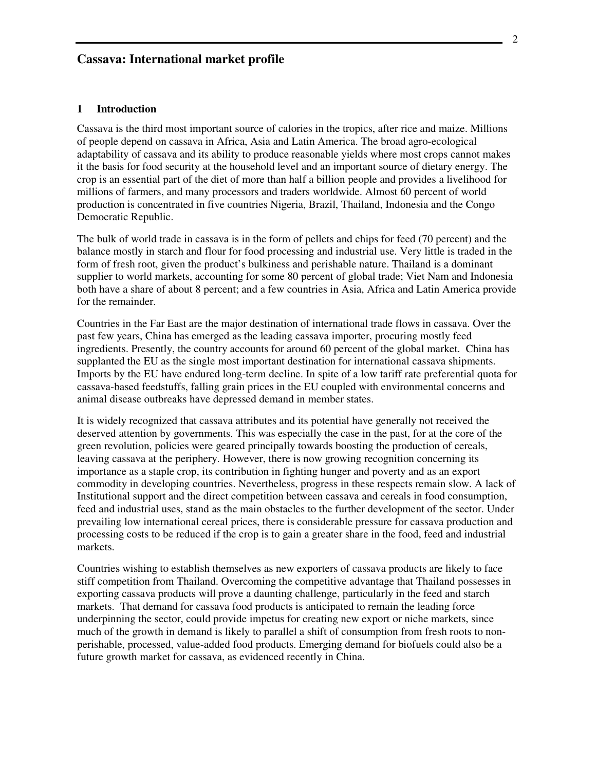## **Cassava: International market profile**

## **1 Introduction**

Cassava is the third most important source of calories in the tropics, after rice and maize. Millions of people depend on cassava in Africa, Asia and Latin America. The broad agro-ecological adaptability of cassava and its ability to produce reasonable yields where most crops cannot makes it the basis for food security at the household level and an important source of dietary energy. The crop is an essential part of the diet of more than half a billion people and provides a livelihood for millions of farmers, and many processors and traders worldwide. Almost 60 percent of world production is concentrated in five countries Nigeria, Brazil, Thailand, Indonesia and the Congo Democratic Republic.

The bulk of world trade in cassava is in the form of pellets and chips for feed (70 percent) and the balance mostly in starch and flour for food processing and industrial use. Very little is traded in the form of fresh root, given the product's bulkiness and perishable nature. Thailand is a dominant supplier to world markets, accounting for some 80 percent of global trade; Viet Nam and Indonesia both have a share of about 8 percent; and a few countries in Asia, Africa and Latin America provide for the remainder.

Countries in the Far East are the major destination of international trade flows in cassava. Over the past few years, China has emerged as the leading cassava importer, procuring mostly feed ingredients. Presently, the country accounts for around 60 percent of the global market. China has supplanted the EU as the single most important destination for international cassava shipments. Imports by the EU have endured long-term decline. In spite of a low tariff rate preferential quota for cassava-based feedstuffs, falling grain prices in the EU coupled with environmental concerns and animal disease outbreaks have depressed demand in member states.

It is widely recognized that cassava attributes and its potential have generally not received the deserved attention by governments. This was especially the case in the past, for at the core of the green revolution, policies were geared principally towards boosting the production of cereals, leaving cassava at the periphery. However, there is now growing recognition concerning its importance as a staple crop, its contribution in fighting hunger and poverty and as an export commodity in developing countries. Nevertheless, progress in these respects remain slow. A lack of Institutional support and the direct competition between cassava and cereals in food consumption, feed and industrial uses, stand as the main obstacles to the further development of the sector. Under prevailing low international cereal prices, there is considerable pressure for cassava production and processing costs to be reduced if the crop is to gain a greater share in the food, feed and industrial markets.

Countries wishing to establish themselves as new exporters of cassava products are likely to face stiff competition from Thailand. Overcoming the competitive advantage that Thailand possesses in exporting cassava products will prove a daunting challenge, particularly in the feed and starch markets. That demand for cassava food products is anticipated to remain the leading force underpinning the sector, could provide impetus for creating new export or niche markets, since much of the growth in demand is likely to parallel a shift of consumption from fresh roots to nonperishable, processed, value-added food products. Emerging demand for biofuels could also be a future growth market for cassava, as evidenced recently in China.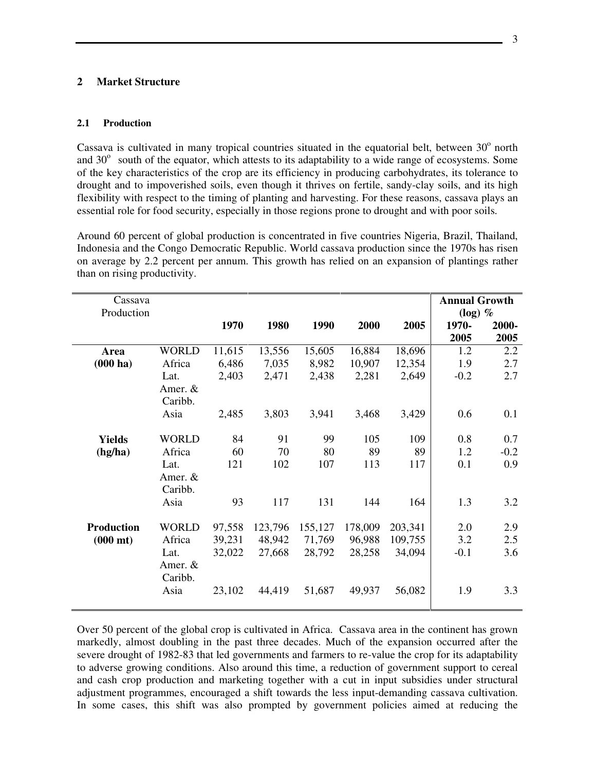## **2 Market Structure**

## **2.1 Production**

Cassava is cultivated in many tropical countries situated in the equatorial belt, between  $30^{\circ}$  north and  $30^{\circ}$  south of the equator, which attests to its adaptability to a wide range of ecosystems. Some of the key characteristics of the crop are its efficiency in producing carbohydrates, its tolerance to drought and to impoverished soils, even though it thrives on fertile, sandy-clay soils, and its high flexibility with respect to the timing of planting and harvesting. For these reasons, cassava plays an essential role for food security, especially in those regions prone to drought and with poor soils.

Around 60 percent of global production is concentrated in five countries Nigeria, Brazil, Thailand, Indonesia and the Congo Democratic Republic. World cassava production since the 1970s has risen on average by 2.2 percent per annum. This growth has relied on an expansion of plantings rather than on rising productivity.

| Cassava<br>Production |                    |        |         |         |         |         | <b>Annual Growth</b><br>$(log)$ % |        |  |
|-----------------------|--------------------|--------|---------|---------|---------|---------|-----------------------------------|--------|--|
|                       |                    | 1970   | 1980    | 1990    | 2000    | 2005    | 1970-                             | 2000-  |  |
|                       |                    |        |         |         |         |         | 2005                              | 2005   |  |
| Area                  | <b>WORLD</b>       | 11,615 | 13,556  | 15,605  | 16,884  | 18,696  | 1.2                               | 2.2    |  |
| $(000 \text{ ha})$    | Africa             | 6,486  | 7,035   | 8,982   | 10,907  | 12,354  | 1.9                               | 2.7    |  |
|                       | Lat.               | 2,403  | 2,471   | 2,438   | 2,281   | 2,649   | $-0.2$                            | 2.7    |  |
|                       | Amer. &<br>Caribb. |        |         |         |         |         |                                   |        |  |
|                       | Asia               | 2,485  | 3,803   | 3,941   | 3,468   | 3,429   | 0.6                               | 0.1    |  |
|                       |                    |        |         |         |         |         |                                   |        |  |
| <b>Yields</b>         | <b>WORLD</b>       | 84     | 91      | 99      | 105     | 109     | 0.8                               | 0.7    |  |
| (hg/ha)               | Africa             | 60     | 70      | 80      | 89      | 89      | 1.2                               | $-0.2$ |  |
|                       | Lat.               | 121    | 102     | 107     | 113     | 117     | 0.1                               | 0.9    |  |
|                       | Amer. &            |        |         |         |         |         |                                   |        |  |
|                       | Caribb.            |        |         |         |         |         |                                   |        |  |
|                       | Asia               | 93     | 117     | 131     | 144     | 164     | 1.3                               | 3.2    |  |
| <b>Production</b>     | <b>WORLD</b>       | 97,558 | 123,796 | 155,127 | 178,009 | 203,341 | 2.0                               | 2.9    |  |
| $(000 \text{ mt})$    | Africa             | 39,231 | 48,942  | 71,769  | 96,988  | 109,755 | 3.2                               | 2.5    |  |
|                       | Lat.               | 32,022 | 27,668  | 28,792  | 28,258  | 34,094  | $-0.1$                            | 3.6    |  |
|                       | Amer. &            |        |         |         |         |         |                                   |        |  |
|                       | Caribb.            |        |         |         |         |         |                                   |        |  |
|                       | Asia               | 23,102 | 44,419  | 51,687  | 49,937  | 56,082  | 1.9                               | 3.3    |  |
|                       |                    |        |         |         |         |         |                                   |        |  |

Over 50 percent of the global crop is cultivated in Africa. Cassava area in the continent has grown markedly, almost doubling in the past three decades. Much of the expansion occurred after the severe drought of 1982-83 that led governments and farmers to re-value the crop for its adaptability to adverse growing conditions. Also around this time, a reduction of government support to cereal and cash crop production and marketing together with a cut in input subsidies under structural adjustment programmes, encouraged a shift towards the less input-demanding cassava cultivation. In some cases, this shift was also prompted by government policies aimed at reducing the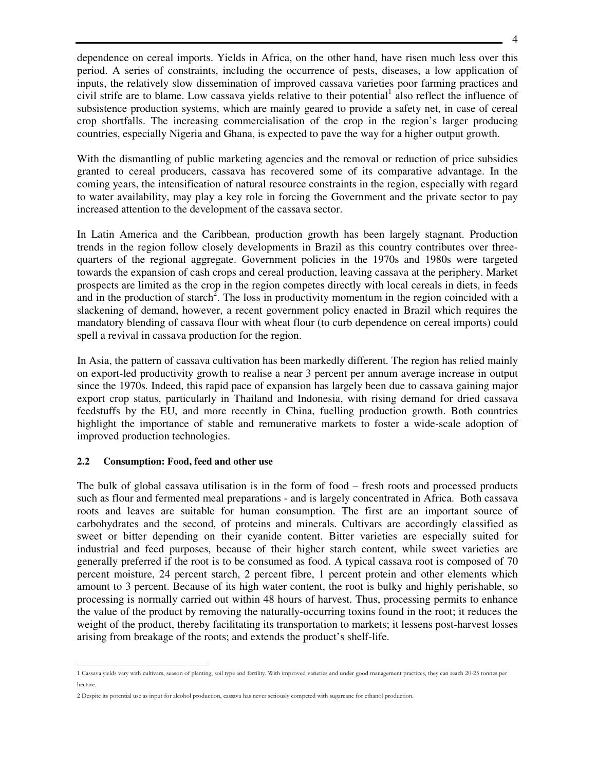dependence on cereal imports. Yields in Africa, on the other hand, have risen much less over this period. A series of constraints, including the occurrence of pests, diseases, a low application of inputs, the relatively slow dissemination of improved cassava varieties poor farming practices and civil strife are to blame. Low cassava yields relative to their potential  $1$  also reflect the influence of subsistence production systems, which are mainly geared to provide a safety net, in case of cereal crop shortfalls. The increasing commercialisation of the crop in the region's larger producing countries, especially Nigeria and Ghana, is expected to pave the way for a higher output growth.

With the dismantling of public marketing agencies and the removal or reduction of price subsidies granted to cereal producers, cassava has recovered some of its comparative advantage. In the coming years, the intensification of natural resource constraints in the region, especially with regard to water availability, may play a key role in forcing the Government and the private sector to pay increased attention to the development of the cassava sector.

In Latin America and the Caribbean, production growth has been largely stagnant. Production trends in the region follow closely developments in Brazil as this country contributes over threequarters of the regional aggregate. Government policies in the 1970s and 1980s were targeted towards the expansion of cash crops and cereal production, leaving cassava at the periphery. Market prospects are limited as the crop in the region competes directly with local cereals in diets, in feeds and in the production of starch<sup>2</sup>. The loss in productivity momentum in the region coincided with a slackening of demand, however, a recent government policy enacted in Brazil which requires the mandatory blending of cassava flour with wheat flour (to curb dependence on cereal imports) could spell a revival in cassava production for the region.

In Asia, the pattern of cassava cultivation has been markedly different. The region has relied mainly on export-led productivity growth to realise a near 3 percent per annum average increase in output since the 1970s. Indeed, this rapid pace of expansion has largely been due to cassava gaining major export crop status, particularly in Thailand and Indonesia, with rising demand for dried cassava feedstuffs by the EU, and more recently in China, fuelling production growth. Both countries highlight the importance of stable and remunerative markets to foster a wide-scale adoption of improved production technologies.

## **2.2 Consumption: Food, feed and other use**

 $\overline{a}$ 

The bulk of global cassava utilisation is in the form of food – fresh roots and processed products such as flour and fermented meal preparations - and is largely concentrated in Africa. Both cassava roots and leaves are suitable for human consumption. The first are an important source of carbohydrates and the second, of proteins and minerals. Cultivars are accordingly classified as sweet or bitter depending on their cyanide content. Bitter varieties are especially suited for industrial and feed purposes, because of their higher starch content, while sweet varieties are generally preferred if the root is to be consumed as food. A typical cassava root is composed of 70 percent moisture, 24 percent starch, 2 percent fibre, 1 percent protein and other elements which amount to 3 percent. Because of its high water content, the root is bulky and highly perishable, so processing is normally carried out within 48 hours of harvest. Thus, processing permits to enhance the value of the product by removing the naturally-occurring toxins found in the root; it reduces the weight of the product, thereby facilitating its transportation to markets; it lessens post-harvest losses arising from breakage of the roots; and extends the product's shelf-life.

<sup>1</sup> Cassava yields vary with cultivars, season of planting, soil type and fertility. With improved varieties and under good management practices, they can reach 20-25 tonnes per hectare.

<sup>2</sup> Despite its potential use as input for alcohol production, cassava has never seriously competed with sugarcane for ethanol production.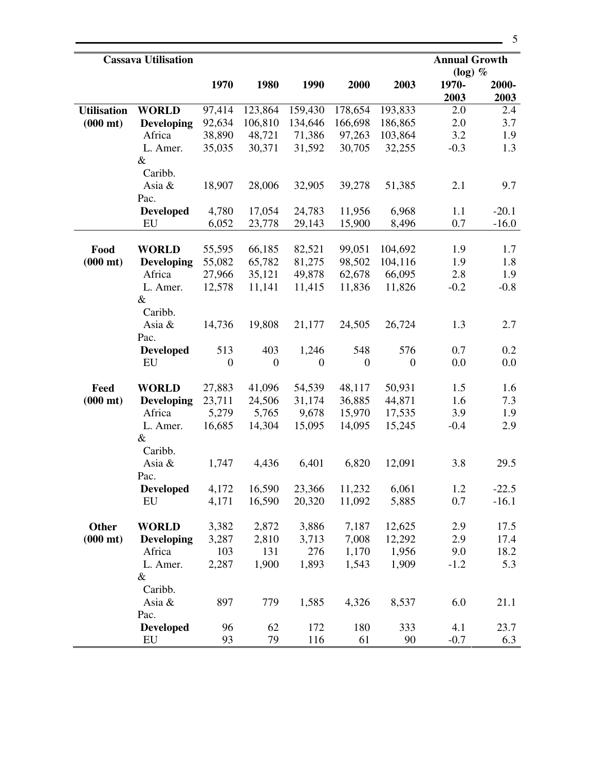| <b>Cassava Utilisation</b> |                   |                  |                  |              |                  |                  | <b>Annual Growth</b><br>$(log)$ % |               |
|----------------------------|-------------------|------------------|------------------|--------------|------------------|------------------|-----------------------------------|---------------|
|                            |                   | 1970             | 1980             | 1990         | 2000             | 2003             | 1970-<br>2003                     | 2000-<br>2003 |
| <b>Utilisation</b>         | <b>WORLD</b>      | 97,414           | 123,864          | 159,430      | 178,654          | 193,833          | 2.0                               | 2.4           |
| $(000 \text{ mt})$         | <b>Developing</b> | 92,634           | 106,810          | 134,646      | 166,698          | 186,865          | 2.0                               | 3.7           |
|                            | Africa            | 38,890           | 48,721           | 71,386       | 97,263           | 103,864          | 3.2                               | 1.9           |
|                            | L. Amer.          | 35,035           | 30,371           | 31,592       | 30,705           | 32,255           | $-0.3$                            | 1.3           |
|                            | $\&$              |                  |                  |              |                  |                  |                                   |               |
|                            | Caribb.           |                  |                  |              |                  |                  |                                   |               |
|                            | Asia $\&$         | 18,907           | 28,006           | 32,905       | 39,278           | 51,385           | 2.1                               | 9.7           |
|                            | Pac.              |                  |                  |              |                  |                  |                                   |               |
|                            | <b>Developed</b>  | 4,780            | 17,054           | 24,783       | 11,956           | 6,968            | 1.1                               | $-20.1$       |
|                            | EU                | 6,052            | 23,778           | 29,143       | 15,900           | 8,496            | 0.7                               | $-16.0$       |
|                            |                   |                  |                  |              |                  |                  |                                   |               |
| Food                       | <b>WORLD</b>      | 55,595           | 66,185           | 82,521       | 99,051           | 104,692          | 1.9                               | 1.7           |
| $(000 \text{ mt})$         | <b>Developing</b> | 55,082           | 65,782           | 81,275       | 98,502           | 104,116          | 1.9                               | 1.8           |
|                            | Africa            | 27,966           | 35,121           | 49,878       | 62,678           | 66,095           | 2.8                               | 1.9           |
|                            | L. Amer.          | 12,578           | 11,141           | 11,415       | 11,836           | 11,826           | $-0.2$                            | $-0.8$        |
|                            | $\&$              |                  |                  |              |                  |                  |                                   |               |
|                            | Caribb.           |                  |                  |              |                  |                  |                                   |               |
|                            | Asia &            | 14,736           | 19,808           | 21,177       | 24,505           | 26,724           | 1.3                               | 2.7           |
|                            | Pac.              |                  |                  |              |                  |                  |                                   |               |
|                            | <b>Developed</b>  | 513              | 403              | 1,246        | 548              | 576              | 0.7                               | 0.2           |
|                            | EU                | $\boldsymbol{0}$ | $\boldsymbol{0}$ | $\mathbf{0}$ | $\boldsymbol{0}$ | $\boldsymbol{0}$ | 0.0                               | 0.0           |
|                            |                   |                  |                  |              |                  |                  |                                   |               |
| Feed                       | <b>WORLD</b>      | 27,883           | 41,096           | 54,539       | 48,117           | 50,931           | 1.5                               | 1.6           |
| $(000 \text{ mt})$         | <b>Developing</b> | 23,711           | 24,506           | 31,174       | 36,885           | 44,871           | 1.6                               | 7.3           |
|                            | Africa            | 5,279            | 5,765            | 9,678        | 15,970           | 17,535           | 3.9                               | 1.9           |
|                            | L. Amer.          | 16,685           | 14,304           | 15,095       | 14,095           | 15,245           | $-0.4$                            | 2.9           |
|                            | &                 |                  |                  |              |                  |                  |                                   |               |
|                            | Caribb.           |                  |                  |              |                  |                  |                                   |               |
|                            | Asia &            | 1,747            | 4,436            | 6,401        | 6,820            | 12,091           | 3.8                               | 29.5          |
|                            | Pac.              |                  |                  |              |                  |                  |                                   |               |
|                            | <b>Developed</b>  | 4,172            | 16,590           | 23,366       | 11,232           | 6,061            | 1.2                               | $-22.5$       |
|                            | EU                | 4,171            | 16,590           | 20,320       | 11,092           | 5,885            | 0.7                               | $-16.1$       |
|                            |                   |                  |                  |              |                  |                  |                                   |               |
| Other                      | <b>WORLD</b>      | 3,382            | 2,872            | 3,886        | 7,187            | 12,625           | 2.9                               | 17.5          |
| $(000 \text{ mt})$         | <b>Developing</b> | 3,287            | 2,810            | 3,713        | 7,008            | 12,292           | 2.9                               | 17.4          |
|                            | Africa            | 103              | 131              | 276          | 1,170            | 1,956            | 9.0                               | 18.2          |
|                            | L. Amer.          | 2,287            | 1,900            | 1,893        | 1,543            | 1,909            | $-1.2$                            | 5.3           |
|                            | $\&$              |                  |                  |              |                  |                  |                                   |               |
|                            | Caribb.           |                  |                  |              |                  |                  |                                   |               |
|                            | Asia &            | 897              | 779              | 1,585        | 4,326            | 8,537            | 6.0                               | 21.1          |
|                            | Pac.              |                  |                  |              |                  |                  |                                   |               |
|                            | <b>Developed</b>  | 96               | 62               | 172          | 180              | 333              | 4.1                               | 23.7          |
|                            |                   | 93               | 79               | 116          | 61               | 90               | $-0.7$                            | 6.3           |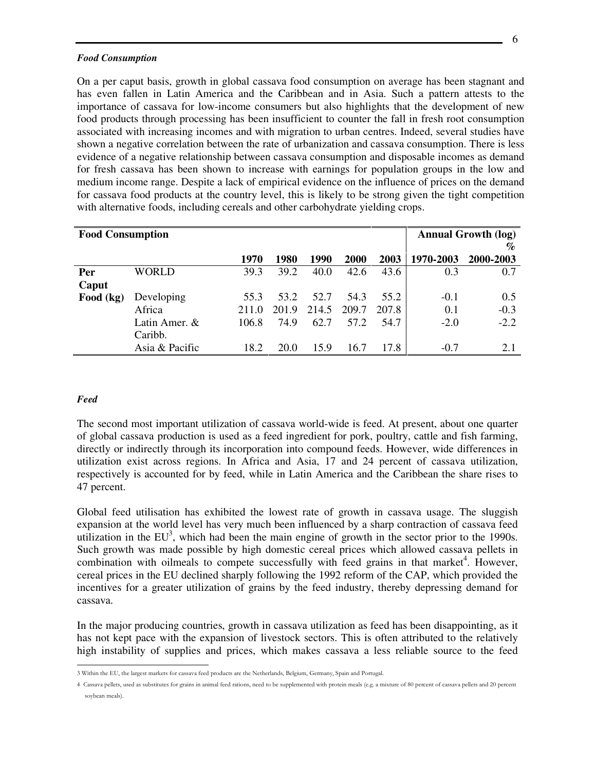#### *Food Consumption*

On a per caput basis, growth in global cassava food consumption on average has been stagnant and has even fallen in Latin America and the Caribbean and in Asia. Such a pattern attests to the importance of cassava for low-income consumers but also highlights that the development of new food products through processing has been insufficient to counter the fall in fresh root consumption associated with increasing incomes and with migration to urban centres. Indeed, several studies have shown a negative correlation between the rate of urbanization and cassava consumption. There is less evidence of a negative relationship between cassava consumption and disposable incomes as demand for fresh cassava has been shown to increase with earnings for population groups in the low and medium income range. Despite a lack of empirical evidence on the influence of prices on the demand for cassava food products at the country level, this is likely to be strong given the tight competition with alternative foods, including cereals and other carbohydrate yielding crops.

| <b>Food Consumption</b> |                |       |             |       |       |       | <b>Annual Growth (log)</b> |           |  |
|-------------------------|----------------|-------|-------------|-------|-------|-------|----------------------------|-----------|--|
|                         |                |       |             |       |       |       |                            | $\%$      |  |
|                         |                | 1970  | 1980        | 1990  | 2000  | 2003  | 1970-2003                  | 2000-2003 |  |
| Per                     | WORLD          | 39.3  | 39.2        | 40.0  | 42.6  | 43.6  | 0.3                        | 0.7       |  |
| Caput                   |                |       |             |       |       |       |                            |           |  |
| Food (kg)               | Developing     | 55.3  | 53.2        | 52.7  | 54.3  | 55.2  | $-0.1$                     | 0.5       |  |
|                         | Africa         | 211.0 | 201.9       | 214.5 | 209.7 | 207.8 | 0.1                        | $-0.3$    |  |
|                         | Latin Amer. &  | 106.8 | 74.9        | 62.7  | 57.2  | 54.7  | $-2.0$                     | $-2.2$    |  |
|                         | Caribb.        |       |             |       |       |       |                            |           |  |
|                         | Asia & Pacific | 18.2  | <b>20.0</b> | 15.9  | 16.7  | 17.8  | $-0.7$                     | 2.1       |  |

## *Feed*

 $\overline{a}$ 

The second most important utilization of cassava world-wide is feed. At present, about one quarter of global cassava production is used as a feed ingredient for pork, poultry, cattle and fish farming, directly or indirectly through its incorporation into compound feeds. However, wide differences in utilization exist across regions. In Africa and Asia, 17 and 24 percent of cassava utilization, respectively is accounted for by feed, while in Latin America and the Caribbean the share rises to 47 percent.

Global feed utilisation has exhibited the lowest rate of growth in cassava usage. The sluggish expansion at the world level has very much been influenced by a sharp contraction of cassava feed utilization in the  $EU^3$ , which had been the main engine of growth in the sector prior to the 1990s. Such growth was made possible by high domestic cereal prices which allowed cassava pellets in combination with oilmeals to compete successfully with feed grains in that market<sup>4</sup>. However, cereal prices in the EU declined sharply following the 1992 reform of the CAP, which provided the incentives for a greater utilization of grains by the feed industry, thereby depressing demand for cassava.

In the major producing countries, growth in cassava utilization as feed has been disappointing, as it has not kept pace with the expansion of livestock sectors. This is often attributed to the relatively high instability of supplies and prices, which makes cassava a less reliable source to the feed

<sup>3</sup> Within the EU, the largest markets for cassava feed products are the Netherlands, Belgium, Germany, Spain and Portugal.

<sup>4</sup> Cassava pellets, used as substitutes for grains in animal feed rations, need to be supplemented with protein meals (e.g. a mixture of 80 percent of cassava pellets and 20 percent soybean meals).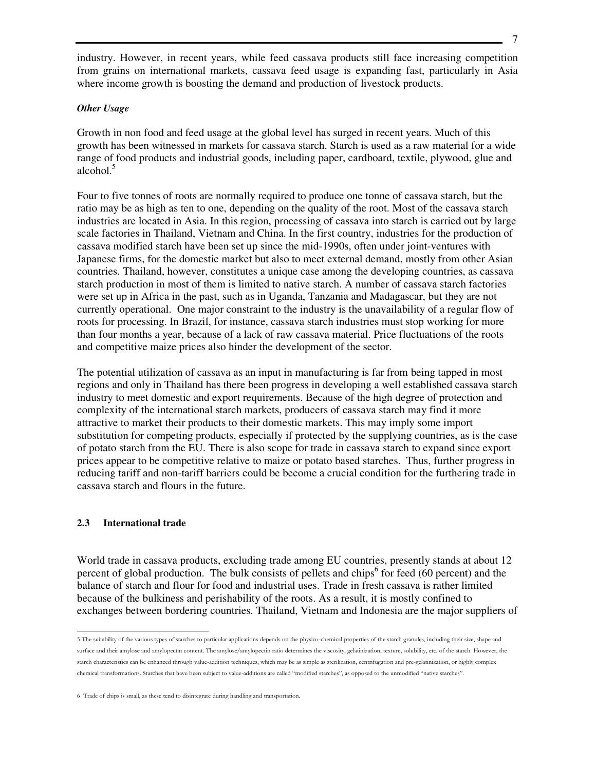industry. However, in recent years, while feed cassava products still face increasing competition from grains on international markets, cassava feed usage is expanding fast, particularly in Asia where income growth is boosting the demand and production of livestock products.

## *Other Usage*

Growth in non food and feed usage at the global level has surged in recent years. Much of this growth has been witnessed in markets for cassava starch. Starch is used as a raw material for a wide range of food products and industrial goods, including paper, cardboard, textile, plywood, glue and  $alcohol.<sup>5</sup>$ 

Four to five tonnes of roots are normally required to produce one tonne of cassava starch, but the ratio may be as high as ten to one, depending on the quality of the root. Most of the cassava starch industries are located in Asia. In this region, processing of cassava into starch is carried out by large scale factories in Thailand, Vietnam and China. In the first country, industries for the production of cassava modified starch have been set up since the mid-1990s, often under joint-ventures with Japanese firms, for the domestic market but also to meet external demand, mostly from other Asian countries. Thailand, however, constitutes a unique case among the developing countries, as cassava starch production in most of them is limited to native starch. A number of cassava starch factories were set up in Africa in the past, such as in Uganda, Tanzania and Madagascar, but they are not currently operational. One major constraint to the industry is the unavailability of a regular flow of roots for processing. In Brazil, for instance, cassava starch industries must stop working for more than four months a year, because of a lack of raw cassava material. Price fluctuations of the roots and competitive maize prices also hinder the development of the sector.

The potential utilization of cassava as an input in manufacturing is far from being tapped in most regions and only in Thailand has there been progress in developing a well established cassava starch industry to meet domestic and export requirements. Because of the high degree of protection and complexity of the international starch markets, producers of cassava starch may find it more attractive to market their products to their domestic markets. This may imply some import substitution for competing products, especially if protected by the supplying countries, as is the case of potato starch from the EU. There is also scope for trade in cassava starch to expand since export prices appear to be competitive relative to maize or potato based starches. Thus, further progress in reducing tariff and non-tariff barriers could be become a crucial condition for the furthering trade in cassava starch and flours in the future.

## **2.3 International trade**

 $\overline{a}$ 

World trade in cassava products, excluding trade among EU countries, presently stands at about 12 percent of global production. The bulk consists of pellets and chips<sup>6</sup> for feed (60 percent) and the balance of starch and flour for food and industrial uses. Trade in fresh cassava is rather limited because of the bulkiness and perishability of the roots. As a result, it is mostly confined to exchanges between bordering countries. Thailand, Vietnam and Indonesia are the major suppliers of

<sup>5</sup> The suitability of the various types of starches to particular applications depends on the physico-chemical properties of the starch granules, including their size, shape and surface and their amylose and amylopectin content. The amylose/amylopectin ratio determines the viscosity, gelatinization, texture, solubility, etc. of the starch. However, the starch characteristics can be enhanced through value-addition techniques, which may be as simple as sterilization, centrifugation and pre-gelatinization, or highly complex chemical transformations. Starches that have been subject to value-additions are called "modified starches", as opposed to the unmodified "native starches".

<sup>6</sup> Trade of chips is small, as these tend to disintegrate during handling and transportation.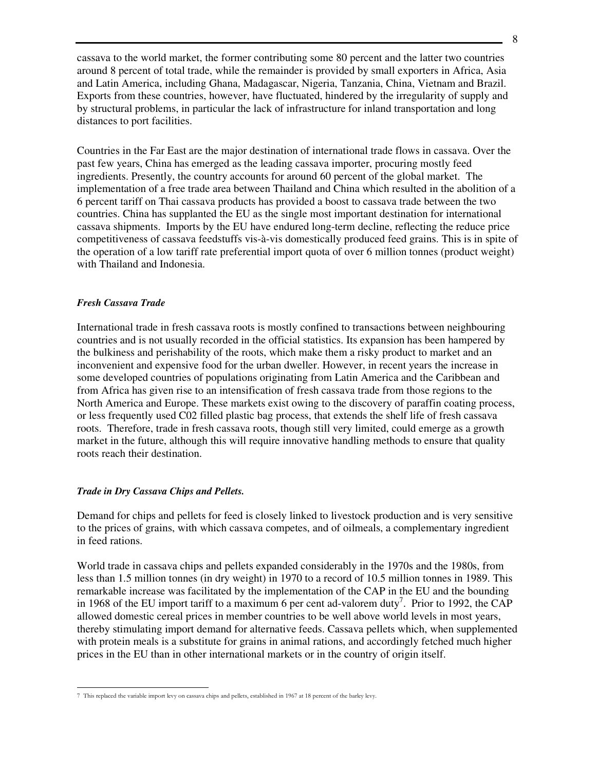cassava to the world market, the former contributing some 80 percent and the latter two countries around 8 percent of total trade, while the remainder is provided by small exporters in Africa, Asia and Latin America, including Ghana, Madagascar, Nigeria, Tanzania, China, Vietnam and Brazil. Exports from these countries, however, have fluctuated, hindered by the irregularity of supply and by structural problems, in particular the lack of infrastructure for inland transportation and long distances to port facilities.

Countries in the Far East are the major destination of international trade flows in cassava. Over the past few years, China has emerged as the leading cassava importer, procuring mostly feed ingredients. Presently, the country accounts for around 60 percent of the global market. The implementation of a free trade area between Thailand and China which resulted in the abolition of a 6 percent tariff on Thai cassava products has provided a boost to cassava trade between the two countries. China has supplanted the EU as the single most important destination for international cassava shipments. Imports by the EU have endured long-term decline, reflecting the reduce price competitiveness of cassava feedstuffs vis-à-vis domestically produced feed grains. This is in spite of the operation of a low tariff rate preferential import quota of over 6 million tonnes (product weight) with Thailand and Indonesia.

## *Fresh Cassava Trade*

 $\overline{a}$ 

International trade in fresh cassava roots is mostly confined to transactions between neighbouring countries and is not usually recorded in the official statistics. Its expansion has been hampered by the bulkiness and perishability of the roots, which make them a risky product to market and an inconvenient and expensive food for the urban dweller. However, in recent years the increase in some developed countries of populations originating from Latin America and the Caribbean and from Africa has given rise to an intensification of fresh cassava trade from those regions to the North America and Europe. These markets exist owing to the discovery of paraffin coating process, or less frequently used C02 filled plastic bag process, that extends the shelf life of fresh cassava roots. Therefore, trade in fresh cassava roots, though still very limited, could emerge as a growth market in the future, although this will require innovative handling methods to ensure that quality roots reach their destination.

## *Trade in Dry Cassava Chips and Pellets.*

Demand for chips and pellets for feed is closely linked to livestock production and is very sensitive to the prices of grains, with which cassava competes, and of oilmeals, a complementary ingredient in feed rations.

World trade in cassava chips and pellets expanded considerably in the 1970s and the 1980s, from less than 1.5 million tonnes (in dry weight) in 1970 to a record of 10.5 million tonnes in 1989. This remarkable increase was facilitated by the implementation of the CAP in the EU and the bounding in 1968 of the EU import tariff to a maximum 6 per cent ad-valorem duty<sup>7</sup>. Prior to 1992, the CAP allowed domestic cereal prices in member countries to be well above world levels in most years, thereby stimulating import demand for alternative feeds. Cassava pellets which, when supplemented with protein meals is a substitute for grains in animal rations, and accordingly fetched much higher prices in the EU than in other international markets or in the country of origin itself.

<sup>7</sup> This replaced the variable import levy on cassava chips and pellets, established in 1967 at 18 percent of the barley levy.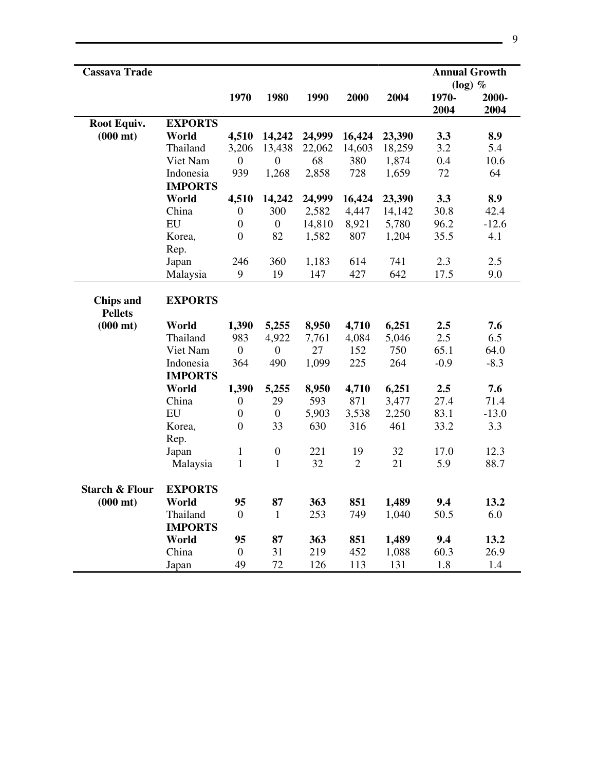| <b>Cassava Trade</b>               |                             |                  |                  |        |            |        | <b>Annual Growth</b><br>$(log)$ % |               |
|------------------------------------|-----------------------------|------------------|------------------|--------|------------|--------|-----------------------------------|---------------|
|                                    |                             | 1970             | 1980             | 1990   | 2000       | 2004   | 1970-<br>2004                     | 2000-<br>2004 |
| Root Equiv.                        | <b>EXPORTS</b>              |                  |                  |        |            |        |                                   |               |
| $(000 \text{ mt})$                 | World                       | 4,510            | 14,242           | 24,999 | 16,424     | 23,390 | 3.3                               | 8.9           |
|                                    | Thailand                    | 3,206            | 13,438           | 22,062 | 14,603     | 18,259 | 3.2                               | 5.4           |
|                                    | Viet Nam                    | $\mathbf{0}$     | 0                | 68     | 380        | 1,874  | 0.4                               | 10.6          |
|                                    | Indonesia                   | 939              | 1,268            | 2,858  | 728        | 1,659  | 72                                | 64            |
|                                    | <b>IMPORTS</b>              |                  |                  |        |            |        |                                   |               |
|                                    | World                       | 4,510            | 14,242           | 24,999 | 16,424     | 23,390 | 3.3                               | 8.9           |
|                                    | China                       | $\boldsymbol{0}$ | 300              | 2,582  | 4,447      | 14,142 | 30.8                              | 42.4          |
|                                    | EU                          | $\boldsymbol{0}$ | $\overline{0}$   | 14,810 | 8,921      | 5,780  | 96.2                              | $-12.6$       |
|                                    | Korea,<br>Rep.              | $\boldsymbol{0}$ | 82               | 1,582  | 807        | 1,204  | 35.5                              | 4.1           |
|                                    | Japan                       | 246              | 360              | 1,183  | 614        | 741    | 2.3                               | 2.5           |
|                                    | Malaysia                    | 9                | 19               | 147    | 427        | 642    | 17.5                              | 9.0           |
| <b>Chips and</b><br><b>Pellets</b> | <b>EXPORTS</b>              |                  |                  |        |            |        |                                   |               |
| $(000 \text{ mt})$                 | World                       | 1,390            | 5,255            | 8,950  | 4,710      | 6,251  | 2.5                               | 7.6           |
|                                    | Thailand                    | 983              | 4,922            | 7,761  | 4,084      | 5,046  | 2.5                               | 6.5           |
|                                    | Viet Nam                    | $\boldsymbol{0}$ | $\boldsymbol{0}$ | 27     | 152        | 750    | 65.1                              | 64.0          |
|                                    | Indonesia<br><b>IMPORTS</b> | 364              | 490              | 1,099  | 225        | 264    | $-0.9$                            | $-8.3$        |
|                                    | World                       | 1,390            | 5,255            | 8,950  | 4,710      | 6,251  | 2.5                               | 7.6           |
|                                    | China                       | $\boldsymbol{0}$ | 29               | 593    | 871        | 3,477  | 27.4                              | 71.4          |
|                                    | EU                          | $\boldsymbol{0}$ | $\boldsymbol{0}$ | 5,903  | 3,538      | 2,250  | 83.1                              | $-13.0$       |
|                                    | Korea,<br>Rep.              | $\boldsymbol{0}$ | 33               | 630    | 316        | 461    | 33.2                              | 3.3           |
|                                    | Japan                       | $\mathbf{1}$     | $\boldsymbol{0}$ | 221    | 19         | 32     | 17.0                              | 12.3          |
|                                    | Malaysia                    | $\mathbf{1}$     | $\mathbf{1}$     | 32     | $\sqrt{2}$ | 21     | 5.9                               | 88.7          |
| <b>Starch &amp; Flour</b>          | <b>EXPORTS</b>              |                  |                  |        |            |        |                                   |               |
| $(000 \text{ mt})$                 | World                       | 95               | 87               | 363    | 851        | 1,489  | 9.4                               | 13.2          |
|                                    | Thailand                    | $\overline{0}$   | $\mathbf{1}$     | 253    | 749        | 1,040  | 50.5                              | 6.0           |
|                                    | <b>IMPORTS</b>              |                  |                  |        |            |        |                                   |               |
|                                    | World                       | 95               | 87               | 363    | 851        | 1,489  | 9.4                               | 13.2          |
|                                    | China                       | $\mathbf{0}$     | 31               | 219    | 452        | 1,088  | 60.3                              | 26.9          |
|                                    | Japan                       | 49               | 72               | 126    | 113        | 131    | 1.8                               | 1.4           |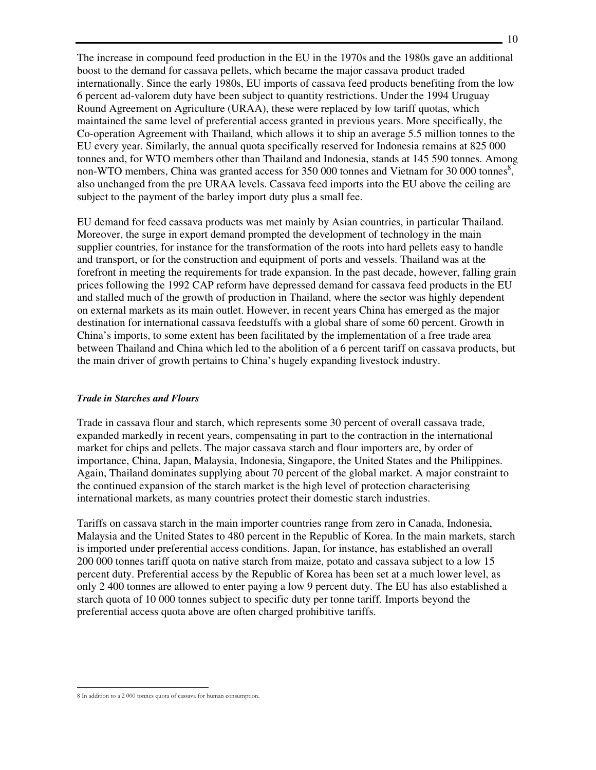The increase in compound feed production in the EU in the 1970s and the 1980s gave an additional boost to the demand for cassava pellets, which became the major cassava product traded internationally. Since the early 1980s, EU imports of cassava feed products benefiting from the low 6 percent ad-valorem duty have been subject to quantity restrictions. Under the 1994 Uruguay Round Agreement on Agriculture (URAA), these were replaced by low tariff quotas, which maintained the same level of preferential access granted in previous years. More specifically, the Co-operation Agreement with Thailand, which allows it to ship an average 5.5 million tonnes to the EU every year. Similarly, the annual quota specifically reserved for Indonesia remains at 825 000 tonnes and, for WTO members other than Thailand and Indonesia, stands at 145 590 tonnes. Among non-WTO members, China was granted access for  $350,000$  tonnes and Vietnam for  $30,000$  tonnes<sup>8</sup>, also unchanged from the pre URAA levels. Cassava feed imports into the EU above the ceiling are subject to the payment of the barley import duty plus a small fee.

EU demand for feed cassava products was met mainly by Asian countries, in particular Thailand. Moreover, the surge in export demand prompted the development of technology in the main supplier countries, for instance for the transformation of the roots into hard pellets easy to handle and transport, or for the construction and equipment of ports and vessels. Thailand was at the forefront in meeting the requirements for trade expansion. In the past decade, however, falling grain prices following the 1992 CAP reform have depressed demand for cassava feed products in the EU and stalled much of the growth of production in Thailand, where the sector was highly dependent on external markets as its main outlet. However, in recent years China has emerged as the major destination for international cassava feedstuffs with a global share of some 60 percent. Growth in China's imports, to some extent has been facilitated by the implementation of a free trade area between Thailand and China which led to the abolition of a 6 percent tariff on cassava products, but the main driver of growth pertains to China's hugely expanding livestock industry.

#### *Trade in Starches and Flours*

Trade in cassava flour and starch, which represents some 30 percent of overall cassava trade, expanded markedly in recent years, compensating in part to the contraction in the international market for chips and pellets. The major cassava starch and flour importers are, by order of importance, China, Japan, Malaysia, Indonesia, Singapore, the United States and the Philippines. Again, Thailand dominates supplying about 70 percent of the global market. A major constraint to the continued expansion of the starch market is the high level of protection characterising international markets, as many countries protect their domestic starch industries.

Tariffs on cassava starch in the main importer countries range from zero in Canada, Indonesia, Malaysia and the United States to 480 percent in the Republic of Korea. In the main markets, starch is imported under preferential access conditions. Japan, for instance, has established an overall 200 000 tonnes tariff quota on native starch from maize, potato and cassava subject to a low 15 percent duty. Preferential access by the Republic of Korea has been set at a much lower level, as only 2 400 tonnes are allowed to enter paying a low 9 percent duty. The EU has also established a starch quota of 10 000 tonnes subject to specific duty per tonne tariff. Imports beyond the preferential access quota above are often charged prohibitive tariffs.

 $\overline{a}$ 8 In addition to a 2 000 tonnes quota of cassava for human consumption.